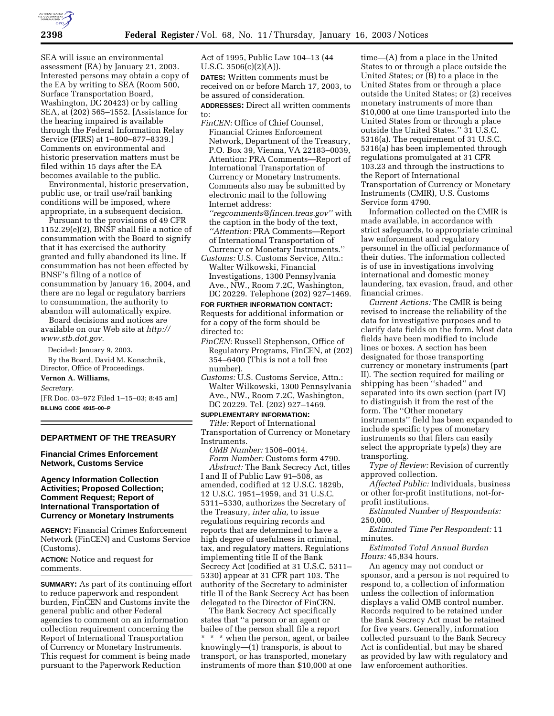

SEA will issue an environmental assessment (EA) by January 21, 2003. Interested persons may obtain a copy of the EA by writing to SEA (Room 500, Surface Transportation Board, Washington, DC 20423) or by calling SEA, at (202) 565–1552. [Assistance for the hearing impaired is available through the Federal Information Relay Service (FIRS) at 1–800–877–8339.] Comments on environmental and historic preservation matters must be filed within 15 days after the EA becomes available to the public.

Environmental, historic preservation, public use, or trail use/rail banking conditions will be imposed, where appropriate, in a subsequent decision.

Pursuant to the provisions of 49 CFR  $1152.29(e)(2)$ , BNSF shall file a notice of consummation with the Board to signify that it has exercised the authority granted and fully abandoned its line. If consummation has not been effected by BNSF's filing of a notice of consummation by January 16, 2004, and there are no legal or regulatory barriers to consummation, the authority to abandon will automatically expire.

Board decisions and notices are available on our Web site at *http:// www.stb.dot.gov.*

Decided: January 9, 2003.

By the Board, David M. Konschnik, Director, Office of Proceedings.

### **Vernon A. Williams,**

*Secretary.*

[FR Doc. 03–972 Filed 1–15–03; 8:45 am] **BILLING CODE 4915–00–P**

## **DEPARTMENT OF THE TREASURY**

**Financial Crimes Enforcement Network, Customs Service** 

## **Agency Information Collection Activities; Proposed Collection; Comment Request; Report of International Transportation of Currency or Monetary Instruments**

**AGENCY:** Financial Crimes Enforcement Network (FinCEN) and Customs Service (Customs).

**ACTION:** Notice and request for comments.

**SUMMARY:** As part of its continuing effort to reduce paperwork and respondent burden, FinCEN and Customs invite the general public and other Federal agencies to comment on an information collection requirement concerning the Report of International Transportation of Currency or Monetary Instruments. This request for comment is being made pursuant to the Paperwork Reduction

Act of 1995, Public Law 104–13 (44 U.S.C. 3506(c)(2)(A)).

**DATES:** Written comments must be received on or before March 17, 2003, to be assured of consideration.

**ADDRESSES:** Direct all written comments to:

*FinCEN:* Office of Chief Counsel, Financial Crimes Enforcement Network, Department of the Treasury, P.O. Box 39, Vienna, VA 22183–0039, Attention: PRA Comments—Report of International Transportation of Currency or Monetary Instruments. Comments also may be submitted by electronic mail to the following Internet address:

*''regcomments@fincen.treas.gov''* with the caption in the body of the text, *''Attention:* PRA Comments—Report of International Transportation of Currency or Monetary Instruments.''

*Customs:* U.S. Customs Service, Attn.: Walter Wilkowski, Financial Investigations, 1300 Pennsylvania Ave., NW., Room 7.2C, Washington, DC 20229. Telephone (202) 927–1469.

**FOR FURTHER INFORMATION CONTACT:** Requests for additional information or for a copy of the form should be directed to:

- *FinCEN:* Russell Stephenson, Office of Regulatory Programs, FinCEN, at (202) 354–6400 (This is not a toll free number).
- *Customs:* U.S. Customs Service, Attn.: Walter Wilkowski, 1300 Pennsylvania Ave., NW., Room 7.2C, Washington, DC 20229. Tel. (202) 927–1469.

# **SUPPLEMENTARY INFORMATION:**

*Title:* Report of International Transportation of Currency or Monetary Instruments.

*OMB Number:* 1506–0014.

*Form Number:* Customs form 4790. *Abstract:* The Bank Secrecy Act, titles I and II of Public Law 91–508, as amended, codified at 12 U.S.C. 1829b, 12 U.S.C. 1951–1959, and 31 U.S.C. 5311–5330, authorizes the Secretary of the Treasury, *inter alia,* to issue regulations requiring records and reports that are determined to have a high degree of usefulness in criminal, tax, and regulatory matters. Regulations implementing title II of the Bank Secrecy Act (codified at 31 U.S.C. 5311– 5330) appear at 31 CFR part 103. The authority of the Secretary to administer title II of the Bank Secrecy Act has been delegated to the Director of FinCEN.

The Bank Secrecy Act specifically states that ''a person or an agent or bailee of the person shall file a report \* \* \* when the person, agent, or bailee knowingly—(1) transports, is about to transport, or has transported, monetary instruments of more than \$10,000 at one

time—(A) from a place in the United States to or through a place outside the United States; or (B) to a place in the United States from or through a place outside the United States; or (2) receives monetary instruments of more than \$10,000 at one time transported into the United States from or through a place outside the United States.'' 31 U.S.C. 5316(a). The requirement of 31 U.S.C. 5316(a) has been implemented through regulations promulgated at 31 CFR 103.23 and through the instructions to the Report of International Transportation of Currency or Monetary Instruments (CMIR), U.S. Customs Service form 4790.

Information collected on the CMIR is made available, in accordance with strict safeguards, to appropriate criminal law enforcement and regulatory personnel in the official performance of their duties. The information collected is of use in investigations involving international and domestic money laundering, tax evasion, fraud, and other financial crimes.

*Current Actions:* The CMIR is being revised to increase the reliability of the data for investigative purposes and to clarify data fields on the form. Most data fields have been modified to include lines or boxes. A section has been designated for those transporting currency or monetary instruments (part II). The section required for mailing or shipping has been ''shaded'' and separated into its own section (part IV) to distinguish it from the rest of the form. The ''Other monetary instruments'' field has been expanded to include specific types of monetary instruments so that filers can easily select the appropriate type(s) they are transporting.

*Type of Review:* Revision of currently approved collection.

*Affected Public:* Individuals, business or other for-profit institutions, not-forprofit institutions.

*Estimated Number of Respondents:* 250,000.

*Estimated Time Per Respondent:* 11 minutes.

*Estimated Total Annual Burden Hours:* 45,834 hours.

An agency may not conduct or sponsor, and a person is not required to respond to, a collection of information unless the collection of information displays a valid OMB control number. Records required to be retained under the Bank Secrecy Act must be retained for five years. Generally, information collected pursuant to the Bank Secrecy Act is confidential, but may be shared as provided by law with regulatory and law enforcement authorities.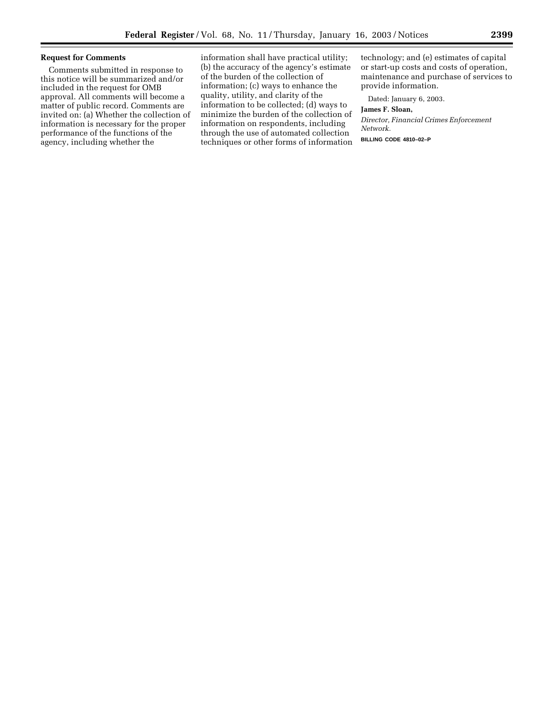## **Request for Comments**

Comments submitted in response to this notice will be summarized and/or included in the request for OMB approval. All comments will become a matter of public record. Comments are invited on: (a) Whether the collection of information is necessary for the proper performance of the functions of the agency, including whether the

information shall have practical utility; (b) the accuracy of the agency's estimate of the burden of the collection of information; (c) ways to enhance the quality, utility, and clarity of the information to be collected; (d) ways to minimize the burden of the collection of information on respondents, including through the use of automated collection techniques or other forms of information

technology; and (e) estimates of capital or start-up costs and costs of operation, maintenance and purchase of services to provide information.

Dated: January 6, 2003.

## **James F. Sloan,**

*Director, Financial Crimes Enforcement Network.*

**BILLING CODE 4810–02–P**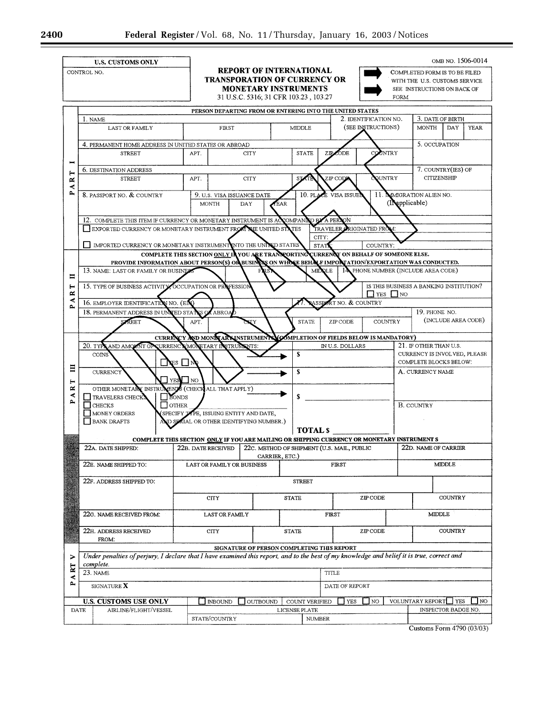|                                                                                   | <b>U.S. CUSTOMS ONLY</b><br>CONTROL NO.                                                                                                                                                                       |                                                 | <b>REPORT OF INTERNATIONAL</b><br><b>TRANSPORATION OF CURRENCY OR</b><br><b>MONETARY INSTRUMENTS</b> |                |                                                          |                    | OMB NO. 1506-0014<br>COMPLETED FORM IS TO BE FILED<br>WITH THE U.S. CUSTOMS SERVICE<br>SEE INSTRUCTIONS ON BACK OF |  |
|-----------------------------------------------------------------------------------|---------------------------------------------------------------------------------------------------------------------------------------------------------------------------------------------------------------|-------------------------------------------------|------------------------------------------------------------------------------------------------------|----------------|----------------------------------------------------------|--------------------|--------------------------------------------------------------------------------------------------------------------|--|
| 31 U.S.C. 5316; 31 CFR 103.23, 103.27<br>FORM                                     |                                                                                                                                                                                                               |                                                 |                                                                                                      |                |                                                          |                    |                                                                                                                    |  |
| PERSON DEPARTING FROM OR ENTERING INTO THE UNITED STATES<br>2. IDENTIFICATION NO. |                                                                                                                                                                                                               |                                                 |                                                                                                      |                |                                                          |                    |                                                                                                                    |  |
|                                                                                   | 1. NAME<br><b>LAST OR FAMILY</b>                                                                                                                                                                              | FRST                                            |                                                                                                      | MIDDLE         |                                                          | (SEE INSTRUCTIONS) | 3. DATE OF BIRTH<br><b>MONTH</b><br>DAY<br><b>YEAR</b>                                                             |  |
|                                                                                   |                                                                                                                                                                                                               |                                                 |                                                                                                      |                |                                                          |                    |                                                                                                                    |  |
|                                                                                   | 4. PERMANENT HOME ADDRESS IN UNITED STATES OR ABROAD                                                                                                                                                          |                                                 |                                                                                                      |                | COUNTRY<br><b>STATE</b>                                  |                    | 5. OCCUPATION                                                                                                      |  |
| ×<br>4<br>p.                                                                      | <b>STREET</b>                                                                                                                                                                                                 | APT.                                            | <b>CITY</b>                                                                                          |                | CODE <sup>1</sup><br>ZIP.                                |                    |                                                                                                                    |  |
|                                                                                   | 6. DESTINATION ADDRESS                                                                                                                                                                                        |                                                 |                                                                                                      |                |                                                          |                    | 7. COUNTRY(IES) OF                                                                                                 |  |
|                                                                                   | <b>STREET</b>                                                                                                                                                                                                 | APT.                                            | <b>CITY</b>                                                                                          |                | <b>SOUNTRY</b><br>ZIP CODE<br><b>STATE</b>               |                    | <b>CITIZENSHIP</b>                                                                                                 |  |
|                                                                                   | 8. PASSPORT NO. & COUNTRY                                                                                                                                                                                     |                                                 | 11. MMIGRATION ALIEN NO.<br>10. PLACE VISA ISSUE<br>9. U.S. VISA ISSUANCE DATE                       |                |                                                          |                    |                                                                                                                    |  |
|                                                                                   |                                                                                                                                                                                                               | <b>MONTH</b>                                    | (IMpolicable)<br><b>TEAR</b><br>DAY                                                                  |                |                                                          |                    |                                                                                                                    |  |
|                                                                                   |                                                                                                                                                                                                               |                                                 | 12. COMPLETE THIS ITEM IF CURRENCY OR MONETARY INSTRUMENT IS ACCOMPAND<br>A PERSON<br>iD B¥          |                |                                                          |                    |                                                                                                                    |  |
|                                                                                   | EXPORTED CURRENCY OR MONETARY INSTRUMENT FROM THE UNITED STATES<br>TRAVELER ORIGINATED FROM:                                                                                                                  |                                                 |                                                                                                      |                |                                                          |                    |                                                                                                                    |  |
|                                                                                   | CITY:<br>MPORTED CURRENCY OR MONETARY INSTRUMENT INTO THE UNIVED STATES<br><b>STAT</b><br>COUNTRY:                                                                                                            |                                                 |                                                                                                      |                |                                                          |                    |                                                                                                                    |  |
|                                                                                   | COMPLETE THIS SECTION ONLY IN YOU ARE TRANSPORTING CURRENCY ON BEHALF OF SOMEONE ELSE.                                                                                                                        |                                                 |                                                                                                      |                |                                                          |                    |                                                                                                                    |  |
|                                                                                   | PROVIDE INFORMATION ABOUT PERSON(S) OR BUSINES ON WHOSE BEHALF IMPORTATION/EXPORTATION WAS CONDUCTED.                                                                                                         |                                                 |                                                                                                      |                |                                                          |                    |                                                                                                                    |  |
| Ħ                                                                                 | 14 PHONE NUMBER (INCLUDE AREA CODE)<br>13. NAME: LAST OR FAMILY OR BUSINES<br>MIDOLE                                                                                                                          |                                                 |                                                                                                      |                |                                                          |                    |                                                                                                                    |  |
| ⊢                                                                                 | 15. TYPE OF BUSINESS ACTIVITY OCCUPATION OR PROFESSION                                                                                                                                                        |                                                 |                                                                                                      |                | IS THIS BUSINESS A BANKING INSTITUTION?                  |                    |                                                                                                                    |  |
| ≃<br>∢                                                                            | $\Box$ YES $\Box$ NO<br>ASSPORT NO. & COUNTRY<br>16. EMPLOYER IDENTIFICATIO<br>N NO. (EIN)                                                                                                                    |                                                 |                                                                                                      |                |                                                          |                    |                                                                                                                    |  |
|                                                                                   | 19. PHONE NO.<br>18. PERMANENT ADDRESS IN UNITED STATES OF<br><b>(ABROAD</b>                                                                                                                                  |                                                 |                                                                                                      |                |                                                          |                    |                                                                                                                    |  |
|                                                                                   | (INCLUDE AREA CODE)<br><b>SZREET</b><br><b>STATE</b><br><b>COUNTRY</b><br>APT.<br>XXY<br>ZIP CODE                                                                                                             |                                                 |                                                                                                      |                |                                                          |                    |                                                                                                                    |  |
|                                                                                   | CURRENCY AND MONETARY INSTRUMENT MOMPLETION OF FIELDS BELOW IS MANDATORY)                                                                                                                                     |                                                 |                                                                                                      |                |                                                          |                    |                                                                                                                    |  |
| 目                                                                                 | AND AMOUNT OF CURRENCY MONETARY INSTRUMENTS:<br>20. TYPS<br>IN U.S. DOLLARS                                                                                                                                   |                                                 |                                                                                                      |                |                                                          |                    | 21. IF OTHER THAN U.S.                                                                                             |  |
|                                                                                   | COINS<br>ES ∐ N                                                                                                                                                                                               |                                                 |                                                                                                      | S              |                                                          |                    | CURRENCY IS INVOLVED, PLEASE<br>COMPLETE BLOCKS BELOW:                                                             |  |
|                                                                                   | <b>CURRENCY</b>                                                                                                                                                                                               | s                                               |                                                                                                      |                |                                                          |                    | A. CURRENCY NAME                                                                                                   |  |
| ⊢<br>≃                                                                            | $\Box$ YES $\Box$ NO<br>OTHER MONETARY INSTRUMENTS (CHECK ALL THAT APPLY)                                                                                                                                     |                                                 |                                                                                                      |                |                                                          |                    |                                                                                                                    |  |
| ≺<br>بم                                                                           | TRAVELERS CHECK                                                                                                                                                                                               | BONDS                                           |                                                                                                      |                |                                                          |                    |                                                                                                                    |  |
|                                                                                   | $\Box$ CHECKS<br><b>NONEY ORDERS</b>                                                                                                                                                                          | OTHER<br>SPECIFY TAPE, ISSUING ENTITY AND DATE, |                                                                                                      |                |                                                          |                    | <b>B. COUNTRY</b>                                                                                                  |  |
|                                                                                   | AND SPAIAL OR OTHER IDENTIFYING NUMBER.)<br>BANK DRAFTS                                                                                                                                                       |                                                 |                                                                                                      |                |                                                          |                    |                                                                                                                    |  |
|                                                                                   | <b>TOTAL S</b>                                                                                                                                                                                                |                                                 |                                                                                                      |                |                                                          |                    |                                                                                                                    |  |
|                                                                                   | COMPLETE THIS SECTION ONLY IF YOU ARE MAILING OR SHIPPING CURRENCY OR MONETARY INSTRUMENT S<br>22A. DATE SHIPPED:<br>22B. DATE RECEIVED<br>22C. METHOD OF SHIPMENT (U.S. MAIL, PUBLIC<br>22D. NAME OF CARRIER |                                                 |                                                                                                      |                |                                                          |                    |                                                                                                                    |  |
|                                                                                   |                                                                                                                                                                                                               |                                                 |                                                                                                      |                | CARRIER, ETC.)                                           |                    |                                                                                                                    |  |
|                                                                                   | 22E. NAME SHIPPED TO:                                                                                                                                                                                         | LAST OR FAMILY OR BUSINESS                      |                                                                                                      | <b>FIRST</b>   |                                                          |                    | <b>MIDDLE</b>                                                                                                      |  |
|                                                                                   | 22F. ADDRESS SHIPPED TO:<br><b>STREET</b>                                                                                                                                                                     |                                                 |                                                                                                      |                |                                                          |                    |                                                                                                                    |  |
|                                                                                   |                                                                                                                                                                                                               |                                                 |                                                                                                      |                |                                                          |                    |                                                                                                                    |  |
|                                                                                   |                                                                                                                                                                                                               | <b>CITY</b>                                     |                                                                                                      | <b>STATE</b>   |                                                          | ZIP CODE           | <b>COUNTRY</b>                                                                                                     |  |
|                                                                                   | 22G. NAME RECEIVED FROM:                                                                                                                                                                                      | <b>LAST OR FAMILY</b>                           |                                                                                                      | FIRST          |                                                          |                    | <b>MIDDLE</b>                                                                                                      |  |
|                                                                                   |                                                                                                                                                                                                               |                                                 |                                                                                                      |                |                                                          |                    |                                                                                                                    |  |
|                                                                                   | 22H. ADDRESS RECEIVED<br>FROM:                                                                                                                                                                                | CITY                                            | <b>STATE</b>                                                                                         | ZIP CODE       |                                                          | <b>COUNTRY</b>     |                                                                                                                    |  |
|                                                                                   | SIGNATURE OF PERSON COMPLETING THIS REPORT                                                                                                                                                                    |                                                 |                                                                                                      |                |                                                          |                    |                                                                                                                    |  |
| ⋗                                                                                 | Under penalties of perjury, I declare that I have examined this report, and to the best of my knowledge and belief it is true, correct and<br>complete.                                                       |                                                 |                                                                                                      |                |                                                          |                    |                                                                                                                    |  |
| $\overline{\mathbf{z}}$<br>₹                                                      | 23. NAME                                                                                                                                                                                                      |                                                 | <b>TITLE</b>                                                                                         |                |                                                          |                    |                                                                                                                    |  |
| р,                                                                                | SIGNATURE X                                                                                                                                                                                                   |                                                 |                                                                                                      | DATE OF REPORT |                                                          |                    |                                                                                                                    |  |
|                                                                                   | <b>U.S. CUSTOMS USE ONLY</b><br><b>OUTBOUND</b><br><b>INBOUND</b><br>COUNT VERIFIED                                                                                                                           |                                                 |                                                                                                      |                | VOLUNTARY REPORT<br>$\Box$ NO<br>$\Box$ NO<br>YES<br>YES |                    |                                                                                                                    |  |
| DATE                                                                              | AIRLINE/FLIGHT/VESSEL                                                                                                                                                                                         |                                                 | LICENSE PLATE                                                                                        |                |                                                          |                    | INSPECTOR BADGE NO.                                                                                                |  |
|                                                                                   |                                                                                                                                                                                                               |                                                 | STATE/COUNTRY                                                                                        |                | <b>NUMBER</b>                                            |                    |                                                                                                                    |  |

Customs Form 4790 (03/03)

 $\equiv$ 

۳